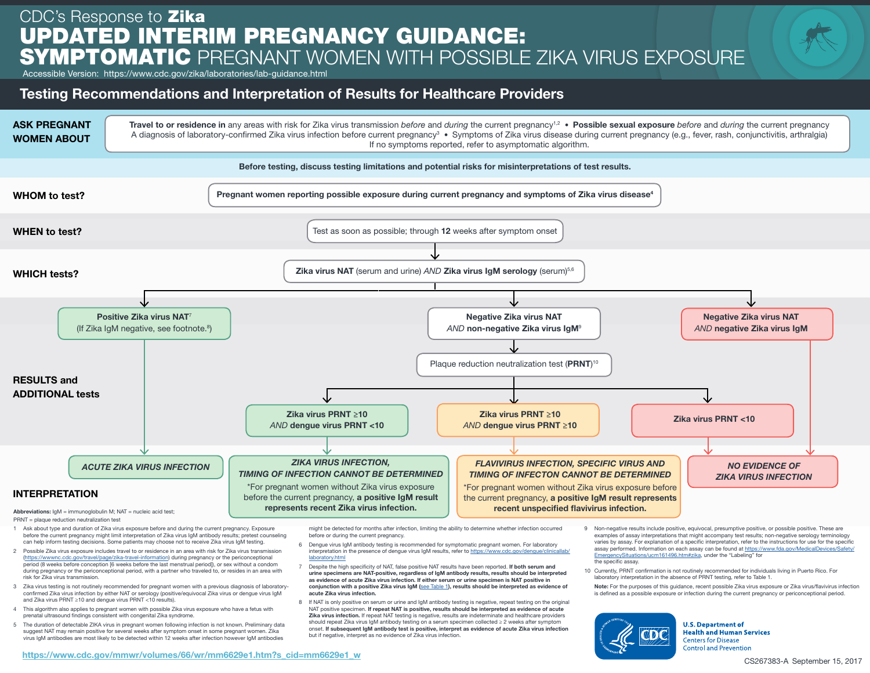## CDC's Response to Zika UPDATED INTERIM PREGNANCY GUIDANCE: SYMPTOMATIC PREGNANT WOMEN WITH POSSIBLE ZIKA VIRUS EXPOSURE

Accessible Version: https://www.cdc.gov/zika/laboratories/lab-guidance.html

## Testing Recommendations and Interpretation of Results for Healthcare Providers



PRNT = plaque reduction neutralization test

- 1 Ask about type and duration of Zika virus exposure before and during the current pregnancy. Exposure before the current pregnancy might limit interpretation of Zika virus IgM antibody results; pretest counseling can help inform testing decisions. Some patients may choose not to receive Zika virus IgM testing.
- 2 Possible Zika virus exposure includes travel to or residence in an area with risk for Zika virus transmission (<https://wwwnc.cdc.gov/travel/page/zika-travel-information>) during pregnancy or the periconceptional period (8 weeks before conception [6 weeks before the last menstrual period]), or sex without a condom during pregnancy or the periconceptional period, with a partner who traveled to, or resides in an area with risk for Zika virus transmission.
- 3 Zika virus testing is not routinely recommended for pregnant women with a previous diagnosis of laboratoryconfirmed Zika virus infection by either NAT or serology (positive/equivocal Zika virus or dengue virus IgM and Zika virus PRNT ≥10 and dengue virus PRNT <10 results).
- 4 This algorithm also applies to pregnant women with possible Zika virus exposure who have a fetus with prenatal ultrasound findings consistent with congenital Zika syndrome.
- 5 The duration of detectable ZIKA virus in pregnant women following infection is not known. Preliminary data suggest NAT may remain positive for several weeks after symptom onset in some pregnant women. Zika virus IgM antibodies are most likely to be detected within 12 weeks after infection however IgM antibodies

might be detected for months after infection, limiting the ability to determine whether infection occurred before or during the current pregnancy.

- 6 Dengue virus IgM antibody testing is recommended for symptomatic pregnant women. For laboratory interpretation in the presence of dengue virus IgM results, refer to [https://www.cdc.gov/dengue/clinicallab/](https://www.cdc.gov/dengue/clinicallab/laboratory.html) laboratory.htm
- 7 Despite the high specificity of NAT, false positive NAT results have been reported. If both serum and urine specimens are NAT-positive, regardless of IgM antibody results, results should be interpreted as evidence of acute Zika virus infection. If either serum or urine specimen is NAT positive in conjunction with a positive Zika virus IgM ([see Table 1](https://www.cdc.gov/mmwr/volumes/66/wr/mm6629e1.htm?s_cid=mm6629e1_w
)), results should be interpreted as evidence of acute Zika virus infection.
- 8 If NAT is only positive on serum or urine and IgM antibody testing is negative, repeat testing on the original NAT positive specimen. If repeat NAT is positive, results should be interpreted as evidence of acute Zika virus infection. If repeat NAT testing is negative, results are indeterminate and healthcare providers should repeat Zika virus IgM antibody testing on a serum specimen collected ≥ 2 weeks after symptom onset. If subsequent IgM antibody test is positive, interpret as evidence of acute Zika virus infection but if negative, interpret as no evidence of Zika virus infection.
- 9 Non-negative results include positive, equivocal, presumptive positive, or possible positive. These are examples of assay interpretations that might accompany test results; non-negative serology terminology varies by assay. For explanation of a specific interpretation, refer to the instructions for use for the specific assay performed. Information on each assay can be found at [https://www.fda.gov/MedicalDevices/Safety/](https://www.fda.gov/MedicalDevices/Safety/EmergencySituations/ucm161496.htm#zika) [EmergencySituations/ucm161496.htm#zika](https://www.fda.gov/MedicalDevices/Safety/EmergencySituations/ucm161496.htm#zika), under the "Labeling" for the specific assay.
- 10 Currently, PRNT confirmation is not routinely recommended for individuals living in Puerto Rico. For laboratory interpretation in the absence of PRNT testing, refer to Table 1.
- Note: For the purposes of this quidance, recent possible Zika virus exposure or Zika virus/flavivirus infection is defined as a possible exposure or infection during the current pregnancy or periconceptional period.



**U.S. Department of Health and Human Services Centers for Disease Control and Prevention**